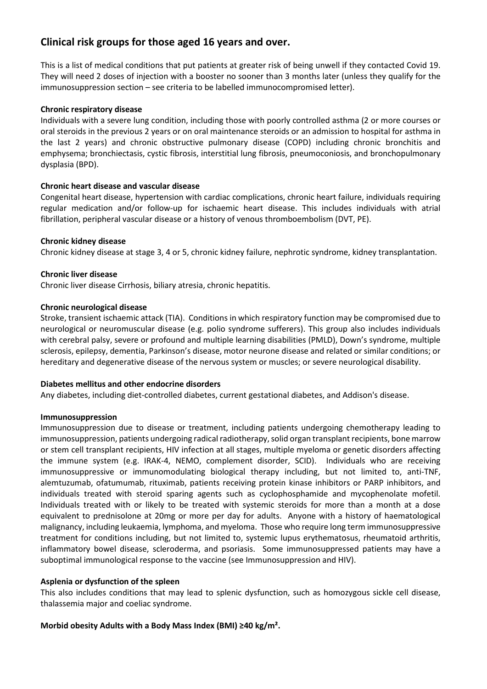# **Clinical risk groups for those aged 16 years and over.**

This is a list of medical conditions that put patients at greater risk of being unwell if they contacted Covid 19. They will need 2 doses of injection with a booster no sooner than 3 months later (unless they qualify for the immunosuppression section – see criteria to be labelled immunocompromised letter).

# **Chronic respiratory disease**

Individuals with a severe lung condition, including those with poorly controlled asthma (2 or more courses or oral steroids in the previous 2 years or on oral maintenance steroids or an admission to hospital for asthma in the last 2 years) and chronic obstructive pulmonary disease (COPD) including chronic bronchitis and emphysema; bronchiectasis, cystic fibrosis, interstitial lung fibrosis, pneumoconiosis, and bronchopulmonary dysplasia (BPD).

# **Chronic heart disease and vascular disease**

Congenital heart disease, hypertension with cardiac complications, chronic heart failure, individuals requiring regular medication and/or follow-up for ischaemic heart disease. This includes individuals with atrial fibrillation, peripheral vascular disease or a history of venous thromboembolism (DVT, PE).

# **Chronic kidney disease**

Chronic kidney disease at stage 3, 4 or 5, chronic kidney failure, nephrotic syndrome, kidney transplantation.

# **Chronic liver disease**

Chronic liver disease Cirrhosis, biliary atresia, chronic hepatitis.

# **Chronic neurological disease**

Stroke, transient ischaemic attack (TIA). Conditions in which respiratory function may be compromised due to neurological or neuromuscular disease (e.g. polio syndrome sufferers). This group also includes individuals with cerebral palsy, severe or profound and multiple learning disabilities (PMLD), Down's syndrome, multiple sclerosis, epilepsy, dementia, Parkinson's disease, motor neurone disease and related or similar conditions; or hereditary and degenerative disease of the nervous system or muscles; or severe neurological disability.

## **Diabetes mellitus and other endocrine disorders**

Any diabetes, including diet-controlled diabetes, current gestational diabetes, and Addison's disease.

## **Immunosuppression**

Immunosuppression due to disease or treatment, including patients undergoing chemotherapy leading to immunosuppression, patients undergoing radical radiotherapy, solid organ transplant recipients, bone marrow or stem cell transplant recipients, HIV infection at all stages, multiple myeloma or genetic disorders affecting the immune system (e.g. IRAK-4, NEMO, complement disorder, SCID). Individuals who are receiving immunosuppressive or immunomodulating biological therapy including, but not limited to, anti-TNF, alemtuzumab, ofatumumab, rituximab, patients receiving protein kinase inhibitors or PARP inhibitors, and individuals treated with steroid sparing agents such as cyclophosphamide and mycophenolate mofetil. Individuals treated with or likely to be treated with systemic steroids for more than a month at a dose equivalent to prednisolone at 20mg or more per day for adults. Anyone with a history of haematological malignancy, including leukaemia, lymphoma, and myeloma. Those who require long term immunosuppressive treatment for conditions including, but not limited to, systemic lupus erythematosus, rheumatoid arthritis, inflammatory bowel disease, scleroderma, and psoriasis. Some immunosuppressed patients may have a suboptimal immunological response to the vaccine (see Immunosuppression and HIV).

# **Asplenia or dysfunction of the spleen**

This also includes conditions that may lead to splenic dysfunction, such as homozygous sickle cell disease, thalassemia major and coeliac syndrome.

# **Morbid obesity Adults with a Body Mass Index (BMI) ≥40 kg/m².**